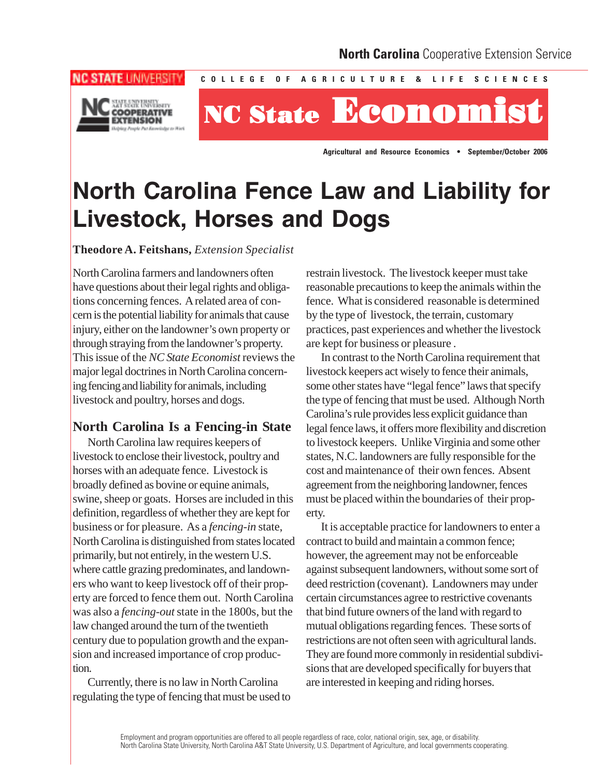

**NC STATE UNIVERSITY** 

# **NC State StateNC State Economist Economist Economist Economist**

**C O L L E G E O F A G R I C U L T U R E & L I F E S C I E N C E S** 

**Agricultural and Resource Economics • September/October 2006** 

# **North Carolina Fence Law and Liability for Livestock, Horses and Dogs**

**Theodore A. Feitshans,** *Extension Specialist* 

North Carolina farmers and landowners often have questions about their legal rights and obligations concerning fences. A related area of concern is the potential liability for animals that cause injury, either on the landowner's own property or through straying from the landowner's property. This issue of the *NC State Economist* reviews the major legal doctrines in North Carolina concerning fencing and liability for animals, including livestock and poultry, horses and dogs.

# **North Carolina Is a Fencing-in State**

North Carolina law requires keepers of livestock to enclose their livestock, poultry and horses with an adequate fence. Livestock is broadly defined as bovine or equine animals, swine, sheep or goats. Horses are included in this definition, regardless of whether they are kept for business or for pleasure. As a *fencing-in* state, North Carolina is distinguished from states located primarily, but not entirely, in the western U.S. where cattle grazing predominates, and landowners who want to keep livestock off of their property are forced to fence them out. North Carolina was also a *fencing-out* state in the 1800s, but the law changed around the turn of the twentieth century due to population growth and the expansion and increased importance of crop production.

Currently, there is no law in North Carolina regulating the type of fencing that must be used to restrain livestock. The livestock keeper must take reasonable precautions to keep the animals within the fence. What is considered reasonable is determined by the type of livestock, the terrain, customary practices, past experiences and whether the livestock are kept for business or pleasure .

In contrast to the North Carolina requirement that livestock keepers act wisely to fence their animals, some other states have "legal fence" laws that specify the type of fencing that must be used. Although North Carolina's rule provides less explicit guidance than legal fence laws, it offers more flexibility and discretion to livestock keepers. Unlike Virginia and some other states, N.C. landowners are fully responsible for the cost and maintenance of their own fences. Absent agreement from the neighboring landowner, fences must be placed within the boundaries of their property.

It is acceptable practice for landowners to enter a contract to build and maintain a common fence; however, the agreement may not be enforceable against subsequent landowners, without some sort of deed restriction (covenant). Landowners may under certain circumstances agree to restrictive covenants that bind future owners of the land with regard to mutual obligations regarding fences. These sorts of restrictions are not often seen with agricultural lands. They are found more commonly in residential subdivisions that are developed specifically for buyers that are interested in keeping and riding horses.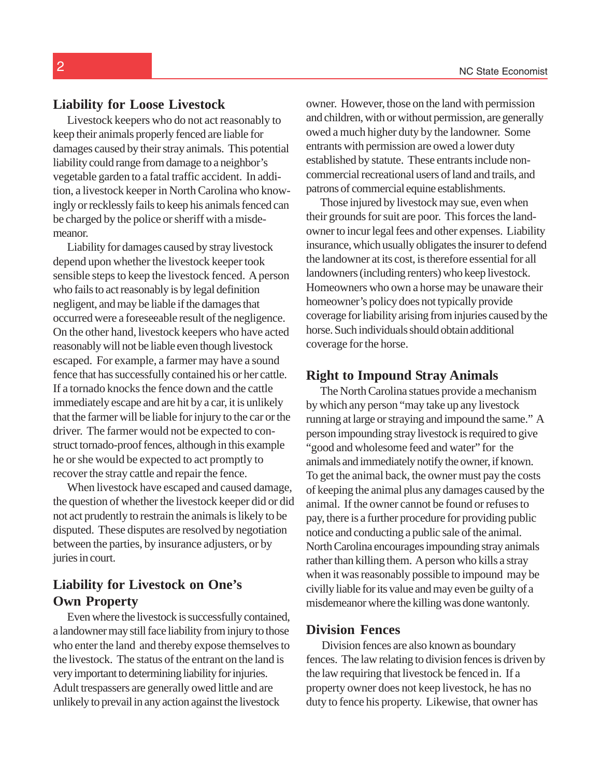#### **Liability for Loose Livestock**

Livestock keepers who do not act reasonably to keep their animals properly fenced are liable for damages caused by their stray animals. This potential liability could range from damage to a neighbor's vegetable garden to a fatal traffic accident. In addition, a livestock keeper in North Carolina who knowingly or recklessly fails to keep his animals fenced can be charged by the police or sheriff with a misdemeanor.

Liability for damages caused by stray livestock depend upon whether the livestock keeper took sensible steps to keep the livestock fenced. A person who fails to act reasonably is by legal definition negligent, and may be liable if the damages that occurred were a foreseeable result of the negligence. On the other hand, livestock keepers who have acted reasonably will not be liable even though livestock escaped. For example, a farmer may have a sound fence that has successfully contained his or her cattle. If a tornado knocks the fence down and the cattle immediately escape and are hit by a car, it is unlikely that the farmer will be liable for injury to the car or the driver. The farmer would not be expected to construct tornado-proof fences, although in this example he or she would be expected to act promptly to recover the stray cattle and repair the fence.

When livestock have escaped and caused damage, the question of whether the livestock keeper did or did not act prudently to restrain the animals is likely to be disputed. These disputes are resolved by negotiation between the parties, by insurance adjusters, or by juries in court.

## **Liability for Livestock on One's Own Property**

Even where the livestock is successfully contained, a landowner may still face liability from injury to those who enter the land and thereby expose themselves to the livestock. The status of the entrant on the land is very important to determining liability for injuries. Adult trespassers are generally owed little and are unlikely to prevail in any action against the livestock

owner. However, those on the land with permission and children, with or without permission, are generally owed a much higher duty by the landowner. Some entrants with permission are owed a lower duty established by statute. These entrants include noncommercial recreational users of land and trails, and patrons of commercial equine establishments.

Those injured by livestock may sue, even when their grounds for suit are poor. This forces the landowner to incur legal fees and other expenses. Liability insurance, which usually obligates the insurer to defend the landowner at its cost, is therefore essential for all landowners (including renters) who keep livestock. Homeowners who own a horse may be unaware their homeowner's policy does not typically provide coverage for liability arising from injuries caused by the horse. Such individuals should obtain additional coverage for the horse.

#### **Right to Impound Stray Animals**

The North Carolina statues provide a mechanism by which any person "may take up any livestock running at large or straying and impound the same." A person impounding stray livestock is required to give "good and wholesome feed and water" for the animals and immediately notify the owner, if known. To get the animal back, the owner must pay the costs of keeping the animal plus any damages caused by the animal. If the owner cannot be found or refuses to pay, there is a further procedure for providing public notice and conducting a public sale of the animal. North Carolina encourages impounding stray animals rather than killing them. A person who kills a stray when it was reasonably possible to impound may be civilly liable for its value and may even be guilty of a misdemeanor where the killing was done wantonly.

#### **Division Fences**

Division fences are also known as boundary fences. The law relating to division fences is driven by the law requiring that livestock be fenced in. If a property owner does not keep livestock, he has no duty to fence his property. Likewise, that owner has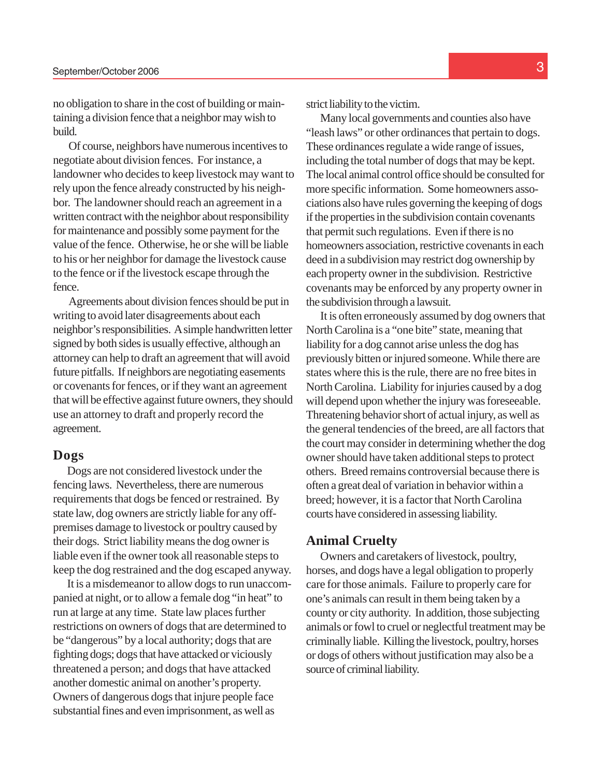no obligation to share in the cost of building or maintaining a division fence that a neighbor may wish to build.

Of course, neighbors have numerous incentives to negotiate about division fences. For instance, a landowner who decides to keep livestock may want to rely upon the fence already constructed by his neighbor. The landowner should reach an agreement in a written contract with the neighbor about responsibility for maintenance and possibly some payment for the value of the fence. Otherwise, he or she will be liable to his or her neighbor for damage the livestock cause to the fence or if the livestock escape through the fence.

Agreements about division fences should be put in writing to avoid later disagreements about each neighbor's responsibilities. A simple handwritten letter signed by both sides is usually effective, although an attorney can help to draft an agreement that will avoid future pitfalls. If neighbors are negotiating easements or covenants for fences, or if they want an agreement that will be effective against future owners, they should use an attorney to draft and properly record the agreement.

#### **Dogs**

Dogs are not considered livestock under the fencing laws. Nevertheless, there are numerous requirements that dogs be fenced or restrained. By state law, dog owners are strictly liable for any offpremises damage to livestock or poultry caused by their dogs. Strict liability means the dog owner is liable even if the owner took all reasonable steps to keep the dog restrained and the dog escaped anyway.

It is a misdemeanor to allow dogs to run unaccompanied at night, or to allow a female dog "in heat" to run at large at any time. State law places further restrictions on owners of dogs that are determined to be "dangerous" by a local authority; dogs that are fighting dogs; dogs that have attacked or viciously threatened a person; and dogs that have attacked another domestic animal on another's property. Owners of dangerous dogs that injure people face substantial fines and even imprisonment, as well as

strict liability to the victim.

Many local governments and counties also have "leash laws" or other ordinances that pertain to dogs. These ordinances regulate a wide range of issues, including the total number of dogs that may be kept. The local animal control office should be consulted for more specific information. Some homeowners associations also have rules governing the keeping of dogs if the properties in the subdivision contain covenants that permit such regulations. Even if there is no homeowners association, restrictive covenants in each deed in a subdivision may restrict dog ownership by each property owner in the subdivision. Restrictive covenants may be enforced by any property owner in the subdivision through a lawsuit.

It is often erroneously assumed by dog owners that North Carolina is a "one bite" state, meaning that liability for a dog cannot arise unless the dog has previously bitten or injured someone. While there are states where this is the rule, there are no free bites in North Carolina. Liability for injuries caused by a dog will depend upon whether the injury was foreseeable. Threatening behavior short of actual injury, as well as the general tendencies of the breed, are all factors that the court may consider in determining whether the dog owner should have taken additional steps to protect others. Breed remains controversial because there is often a great deal of variation in behavior within a breed; however, it is a factor that North Carolina courts have considered in assessing liability.

#### **Animal Cruelty**

Owners and caretakers of livestock, poultry, horses, and dogs have a legal obligation to properly care for those animals. Failure to properly care for one's animals can result in them being taken by a county or city authority. In addition, those subjecting animals or fowl to cruel or neglectful treatment may be criminally liable. Killing the livestock, poultry, horses or dogs of others without justification may also be a source of criminal liability.